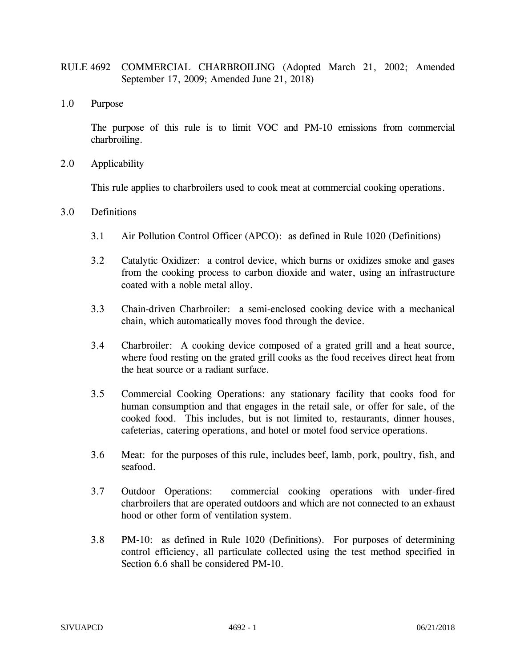- RULE 4692 COMMERCIAL CHARBROILING (Adopted March 21, 2002; Amended September 17, 2009; Amended June 21, 2018)
- 1.0 Purpose

The purpose of this rule is to limit VOC and PM-10 emissions from commercial charbroiling.

2.0 Applicability

This rule applies to charbroilers used to cook meat at commercial cooking operations.

- 3.0 Definitions
	- 3.1 Air Pollution Control Officer (APCO): as defined in Rule 1020 (Definitions)
	- 3.2 Catalytic Oxidizer: a control device, which burns or oxidizes smoke and gases from the cooking process to carbon dioxide and water, using an infrastructure coated with a noble metal alloy.
	- 3.3 Chain-driven Charbroiler: a semi-enclosed cooking device with a mechanical chain, which automatically moves food through the device.
	- 3.4 Charbroiler: A cooking device composed of a grated grill and a heat source, where food resting on the grated grill cooks as the food receives direct heat from the heat source or a radiant surface.
	- 3.5 Commercial Cooking Operations: any stationary facility that cooks food for human consumption and that engages in the retail sale, or offer for sale, of the cooked food. This includes, but is not limited to, restaurants, dinner houses, cafeterias, catering operations, and hotel or motel food service operations.
	- 3.6 Meat: for the purposes of this rule, includes beef, lamb, pork, poultry, fish, and seafood.
	- 3.7 Outdoor Operations: commercial cooking operations with under-fired charbroilers that are operated outdoors and which are not connected to an exhaust hood or other form of ventilation system.
	- 3.8 PM-10: as defined in Rule 1020 (Definitions). For purposes of determining control efficiency, all particulate collected using the test method specified in Section 6.6 shall be considered PM-10.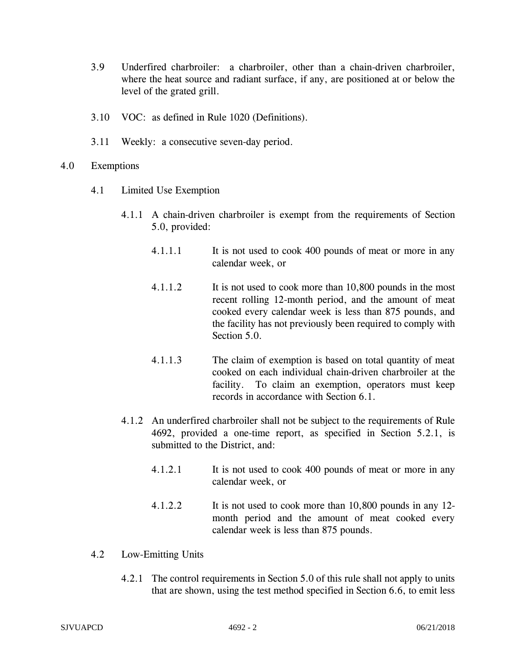- 3.9 Underfired charbroiler: a charbroiler, other than a chain-driven charbroiler, where the heat source and radiant surface, if any, are positioned at or below the level of the grated grill.
- 3.10 VOC: as defined in Rule 1020 (Definitions).
- 3.11 Weekly: a consecutive seven-day period.
- 4.0 Exemptions
	- 4.1 Limited Use Exemption
		- 4.1.1 A chain-driven charbroiler is exempt from the requirements of Section 5.0, provided:
			- 4.1.1.1 It is not used to cook 400 pounds of meat or more in any calendar week, or
			- 4.1.1.2 It is not used to cook more than 10,800 pounds in the most recent rolling 12-month period, and the amount of meat cooked every calendar week is less than 875 pounds, and the facility has not previously been required to comply with Section 5.0.
			- 4.1.1.3 The claim of exemption is based on total quantity of meat cooked on each individual chain-driven charbroiler at the facility. To claim an exemption, operators must keep records in accordance with Section 6.1.
		- 4.1.2 An underfired charbroiler shall not be subject to the requirements of Rule 4692, provided a one-time report, as specified in Section 5.2.1, is submitted to the District, and:
			- 4.1.2.1 It is not used to cook 400 pounds of meat or more in any calendar week, or
			- 4.1.2.2 It is not used to cook more than 10,800 pounds in any 12 month period and the amount of meat cooked every calendar week is less than 875 pounds.
	- 4.2 Low-Emitting Units
		- 4.2.1 The control requirements in Section 5.0 of this rule shall not apply to units that are shown, using the test method specified in Section 6.6, to emit less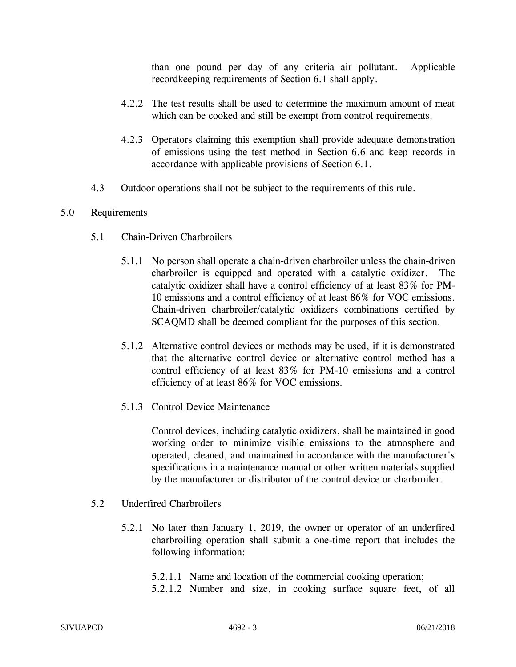than one pound per day of any criteria air pollutant. Applicable recordkeeping requirements of Section 6.1 shall apply.

- 4.2.2 The test results shall be used to determine the maximum amount of meat which can be cooked and still be exempt from control requirements.
- 4.2.3 Operators claiming this exemption shall provide adequate demonstration of emissions using the test method in Section 6.6 and keep records in accordance with applicable provisions of Section 6.1.
- 4.3 Outdoor operations shall not be subject to the requirements of this rule.

## 5.0 Requirements

- 5.1 Chain-Driven Charbroilers
	- 5.1.1 No person shall operate a chain-driven charbroiler unless the chain-driven charbroiler is equipped and operated with a catalytic oxidizer. The catalytic oxidizer shall have a control efficiency of at least 83% for PM-10 emissions and a control efficiency of at least 86% for VOC emissions. Chain-driven charbroiler/catalytic oxidizers combinations certified by SCAQMD shall be deemed compliant for the purposes of this section.
	- 5.1.2 Alternative control devices or methods may be used, if it is demonstrated that the alternative control device or alternative control method has a control efficiency of at least 83% for PM-10 emissions and a control efficiency of at least 86% for VOC emissions.
	- 5.1.3 Control Device Maintenance

Control devices, including catalytic oxidizers, shall be maintained in good working order to minimize visible emissions to the atmosphere and operated, cleaned, and maintained in accordance with the manufacturer's specifications in a maintenance manual or other written materials supplied by the manufacturer or distributor of the control device or charbroiler.

## 5.2 Underfired Charbroilers

- 5.2.1 No later than January 1, 2019, the owner or operator of an underfired charbroiling operation shall submit a one-time report that includes the following information:
	- 5.2.1.1 Name and location of the commercial cooking operation;
	- 5.2.1.2 Number and size, in cooking surface square feet, of all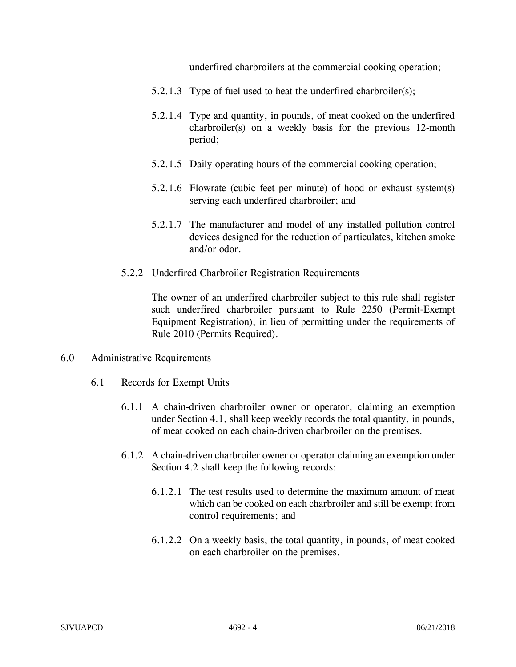underfired charbroilers at the commercial cooking operation;

- 5.2.1.3 Type of fuel used to heat the underfired charbroiler(s);
- 5.2.1.4 Type and quantity, in pounds, of meat cooked on the underfired charbroiler(s) on a weekly basis for the previous 12-month period;
- 5.2.1.5 Daily operating hours of the commercial cooking operation;
- 5.2.1.6 Flowrate (cubic feet per minute) of hood or exhaust system(s) serving each underfired charbroiler; and
- 5.2.1.7 The manufacturer and model of any installed pollution control devices designed for the reduction of particulates, kitchen smoke and/or odor.
- 5.2.2 Underfired Charbroiler Registration Requirements

The owner of an underfired charbroiler subject to this rule shall register such underfired charbroiler pursuant to Rule 2250 (Permit-Exempt Equipment Registration), in lieu of permitting under the requirements of Rule 2010 (Permits Required).

- 6.0 Administrative Requirements
	- 6.1 Records for Exempt Units
		- 6.1.1 A chain-driven charbroiler owner or operator, claiming an exemption under Section 4.1, shall keep weekly records the total quantity, in pounds, of meat cooked on each chain-driven charbroiler on the premises.
		- 6.1.2 A chain-driven charbroiler owner or operator claiming an exemption under Section 4.2 shall keep the following records:
			- 6.1.2.1 The test results used to determine the maximum amount of meat which can be cooked on each charbroiler and still be exempt from control requirements; and
			- 6.1.2.2 On a weekly basis, the total quantity, in pounds, of meat cooked on each charbroiler on the premises.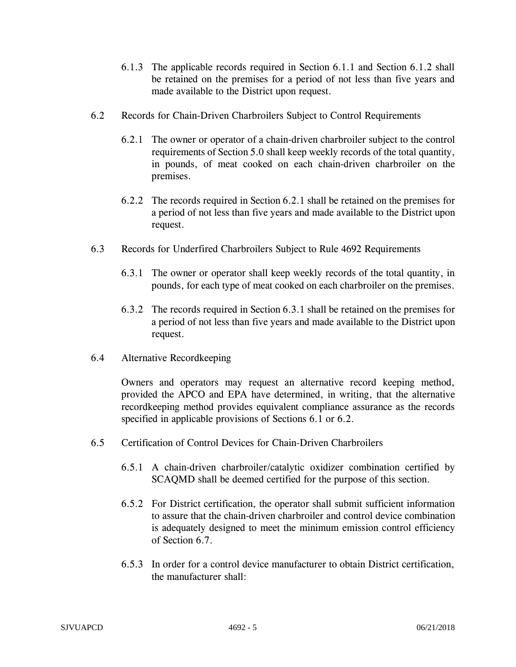- 6.1.3 The applicable records required in Section 6.1.1 and Section 6.1.2 shall be retained on the premises for a period of not less than five years and made available to the District upon request.
- 6.2 Records for Chain-Driven Charbroilers Subject to Control Requirements
	- 6.2.1 The owner or operator of a chain-driven charbroiler subject to the control requirements of Section 5.0 shall keep weekly records of the total quantity, in pounds, of meat cooked on each chain-driven charbroiler on the premises.
	- 6.2.2 The records required in Section 6.2.1 shall be retained on the premises for a period of not less than five years and made available to the District upon request.
- 6.3 Records for Underfired Charbroilers Subject to Rule 4692 Requirements
	- 6.3.1 The owner or operator shall keep weekly records of the total quantity, in pounds, for each type of meat cooked on each charbroiler on the premises.
	- 6.3.2 The records required in Section 6.3.1 shall be retained on the premises for a period of not less than five years and made available to the District upon request.
- 6.4 Alternative Recordkeeping

Owners and operators may request an alternative record keeping method, provided the APCO and EPA have determined, in writing, that the alternative recordkeeping method provides equivalent compliance assurance as the records specified in applicable provisions of Sections 6.1 or 6.2.

- 6.5 Certification of Control Devices for Chain-Driven Charbroilers
	- 6.5.1 A chain-driven charbroiler/catalytic oxidizer combination certified by SCAQMD shall be deemed certified for the purpose of this section.
	- 6.5.2 For District certification, the operator shall submit sufficient information to assure that the chain-driven charbroiler and control device combination is adequately designed to meet the minimum emission control efficiency of Section 6.7.
	- 6.5.3 In order for a control device manufacturer to obtain District certification, the manufacturer shall: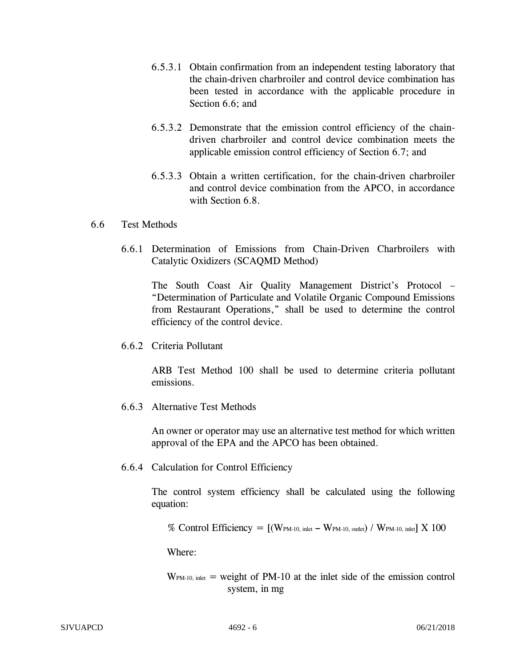- 6.5.3.1 Obtain confirmation from an independent testing laboratory that the chain-driven charbroiler and control device combination has been tested in accordance with the applicable procedure in Section 6.6; and
- 6.5.3.2 Demonstrate that the emission control efficiency of the chaindriven charbroiler and control device combination meets the applicable emission control efficiency of Section 6.7; and
- 6.5.3.3 Obtain a written certification, for the chain-driven charbroiler and control device combination from the APCO, in accordance with Section 6.8.

## 6.6 Test Methods

6.6.1 Determination of Emissions from Chain-Driven Charbroilers with Catalytic Oxidizers (SCAQMD Method)

The South Coast Air Quality Management District's Protocol – "Determination of Particulate and Volatile Organic Compound Emissions from Restaurant Operations," shall be used to determine the control efficiency of the control device.

6.6.2 Criteria Pollutant

ARB Test Method 100 shall be used to determine criteria pollutant emissions.

6.6.3 Alternative Test Methods

An owner or operator may use an alternative test method for which written approval of the EPA and the APCO has been obtained.

6.6.4 Calculation for Control Efficiency

The control system efficiency shall be calculated using the following equation:

% Control Efficiency = 
$$
[(W_{PM-10, \text{ inlet}} - W_{PM-10, \text{ outlet}}) / W_{PM-10, \text{ inlet}}] \times 100
$$

Where:

 $W<sub>PM-10</sub>$ , inlet = weight of PM-10 at the inlet side of the emission control system, in mg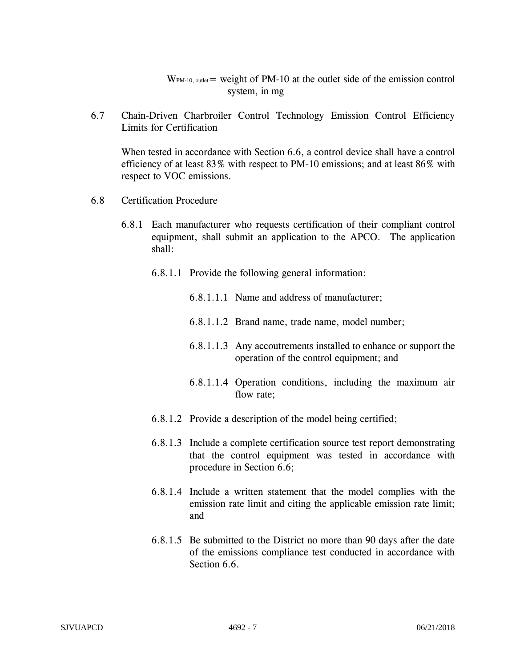$W_{PM-10, \text{ outlet}}$  weight of PM-10 at the outlet side of the emission control system, in mg

6.7 Chain-Driven Charbroiler Control Technology Emission Control Efficiency Limits for Certification

When tested in accordance with Section 6.6, a control device shall have a control efficiency of at least 83% with respect to PM-10 emissions; and at least 86% with respect to VOC emissions.

- 6.8 Certification Procedure
	- 6.8.1 Each manufacturer who requests certification of their compliant control equipment, shall submit an application to the APCO. The application shall:
		- 6.8.1.1 Provide the following general information:
			- 6.8.1.1.1 Name and address of manufacturer;
			- 6.8.1.1.2 Brand name, trade name, model number;
			- 6.8.1.1.3 Any accoutrements installed to enhance or support the operation of the control equipment; and
			- 6.8.1.1.4 Operation conditions, including the maximum air flow rate;
		- 6.8.1.2 Provide a description of the model being certified;
		- 6.8.1.3 Include a complete certification source test report demonstrating that the control equipment was tested in accordance with procedure in Section 6.6;
		- 6.8.1.4 Include a written statement that the model complies with the emission rate limit and citing the applicable emission rate limit; and
		- 6.8.1.5 Be submitted to the District no more than 90 days after the date of the emissions compliance test conducted in accordance with Section 6.6.